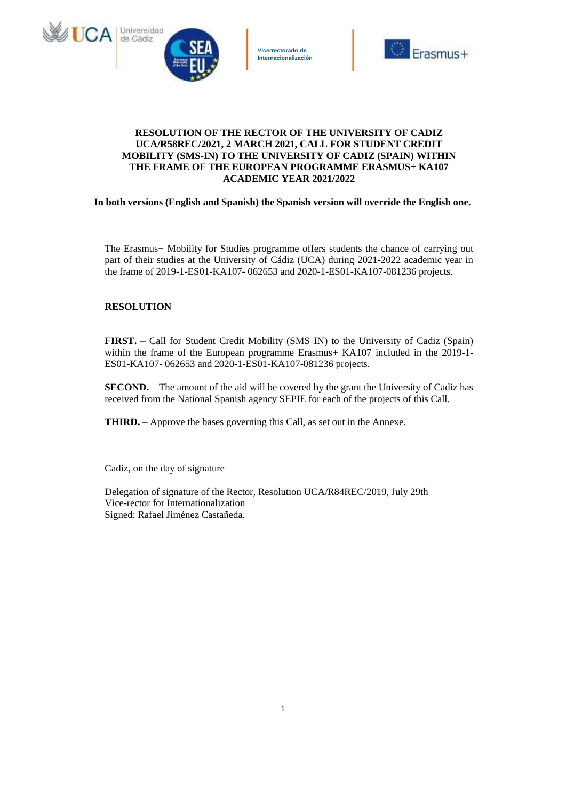



# **RESOLUTION OF THE RECTOR OF THE UNIVERSITY OF CADIZ UCA/R58REC/2021, 2 MARCH 2021, CALL FOR STUDENT CREDIT MOBILITY (SMS-IN) TO THE UNIVERSITY OF CADIZ (SPAIN) WITHIN THE FRAME OF THE EUROPEAN PROGRAMME ERASMUS+ KA107 ACADEMIC YEAR 2021/2022**

**In both versions (English and Spanish) the Spanish version will override the English one.**

The Erasmus+ Mobility for Studies programme offers students the chance of carrying out part of their studies at the University of Cádiz (UCA) during 2021-2022 academic year in the frame of 2019-1-ES01-KA107- 062653 and 2020-1-ES01-KA107-081236 projects.

### **RESOLUTION**

**FIRST.** – Call for Student Credit Mobility (SMS IN) to the University of Cadiz (Spain) within the frame of the European programme Erasmus+ KA107 included in the 2019-1-ES01-KA107- 062653 and 2020-1-ES01-KA107-081236 projects.

**SECOND.** – The amount of the aid will be covered by the grant the University of Cadiz has received from the National Spanish agency SEPIE for each of the projects of this Call.

**THIRD.** – Approve the bases governing this Call, as set out in the Annexe.

Cadiz, on the day of signature

Delegation of signature of the Rector, Resolution UCA/R84REC/2019, July 29th Vice-rector for Internationalization Signed: Rafael Jiménez Castañeda.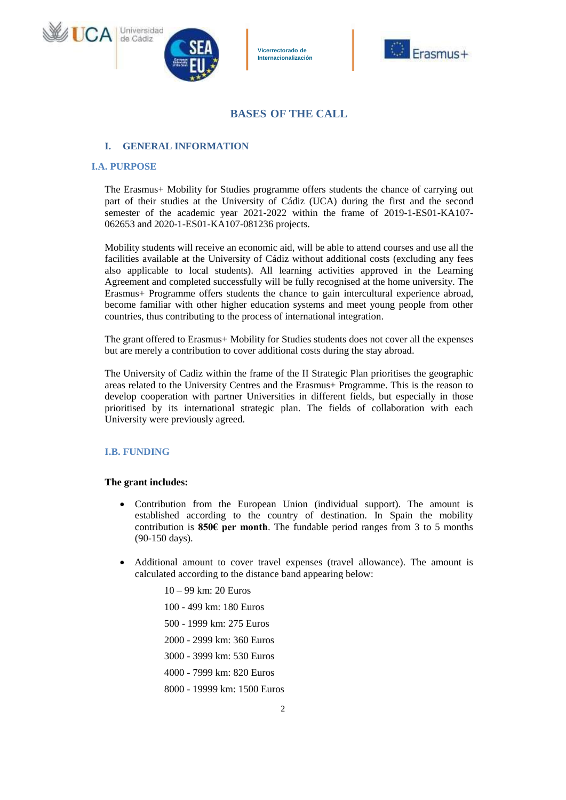





# **BASES OF THE CALL**

# **I. GENERAL INFORMATION**

### **I.A. PURPOSE**

The Erasmus+ Mobility for Studies programme offers students the chance of carrying out part of their studies at the University of Cádiz (UCA) during the first and the second semester of the academic year 2021-2022 within the frame of 2019-1-ES01-KA107- 062653 and 2020-1-ES01-KA107-081236 projects.

Mobility students will receive an economic aid, will be able to attend courses and use all the facilities available at the University of Cádiz without additional costs (excluding any fees also applicable to local students). All learning activities approved in the Learning Agreement and completed successfully will be fully recognised at the home university. The Erasmus+ Programme offers students the chance to gain intercultural experience abroad, become familiar with other higher education systems and meet young people from other countries, thus contributing to the process of international integration.

The grant offered to Erasmus+ Mobility for Studies students does not cover all the expenses but are merely a contribution to cover additional costs during the stay abroad.

The University of Cadiz within the frame of the II Strategic Plan prioritises the geographic areas related to the University Centres and the Erasmus+ Programme. This is the reason to develop cooperation with partner Universities in different fields, but especially in those prioritised by its international strategic plan. The fields of collaboration with each University were previously agreed.

# **I.B. FUNDING**

#### **The grant includes:**

- Contribution from the European Union (individual support). The amount is established according to the country of destination. In Spain the mobility contribution is **850€ per month**. The fundable period ranges from 3 to 5 months (90-150 days).
- Additional amount to cover travel expenses (travel allowance). The amount is calculated according to the distance band appearing below:
	- 10 99 km: 20 Euros
	- 100 499 km: 180 Euros
	- 500 1999 km: 275 Euros
	- 2000 2999 km: 360 Euros
	- 3000 3999 km: 530 Euros
	- 4000 7999 km: 820 Euros
	- 8000 19999 km: 1500 Euros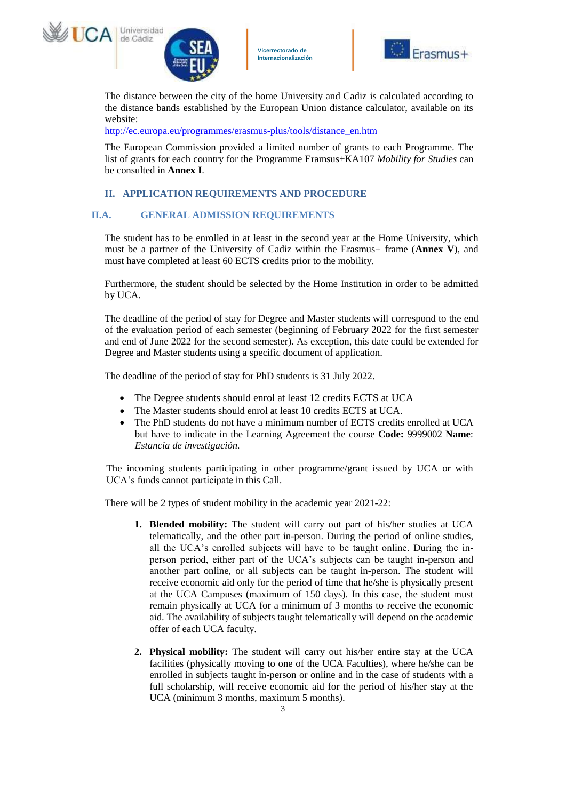





The distance between the city of the home University and Cadiz is calculated according to the distance bands established by the European Union distance calculator, available on its website:

[http://ec.europa.eu/programmes/erasmus-plus/tools/distance\\_en.htm](http://ec.europa.eu/programmes/erasmus-plus/tools/distance_en.htm)

The European Commission provided a limited number of grants to each Programme. The list of grants for each country for the Programme Eramsus+KA107 *Mobility for Studies* can be consulted in **Annex I**.

# **II. APPLICATION REQUIREMENTS AND PROCEDURE**

# **II.A. GENERAL ADMISSION REQUIREMENTS**

The student has to be enrolled in at least in the second year at the Home University, which must be a partner of the University of Cadiz within the Erasmus+ frame (**Annex V**), and must have completed at least 60 ECTS credits prior to the mobility.

Furthermore, the student should be selected by the Home Institution in order to be admitted by UCA.

The deadline of the period of stay for Degree and Master students will correspond to the end of the evaluation period of each semester (beginning of February 2022 for the first semester and end of June 2022 for the second semester). As exception, this date could be extended for Degree and Master students using a specific document of application.

The deadline of the period of stay for PhD students is 31 July 2022.

- The Degree students should enrol at least 12 credits ECTS at UCA
- The Master students should enrol at least 10 credits ECTS at UCA.
- The PhD students do not have a minimum number of ECTS credits enrolled at UCA but have to indicate in the Learning Agreement the course **Code:** 9999002 **Name**: *Estancia de investigación.*

The incoming students participating in other programme/grant issued by UCA or with UCA's funds cannot participate in this Call.

There will be 2 types of student mobility in the academic year 2021-22:

- **1. Blended mobility:** The student will carry out part of his/her studies at UCA telematically, and the other part in-person. During the period of online studies, all the UCA's enrolled subjects will have to be taught online. During the inperson period, either part of the UCA's subjects can be taught in-person and another part online, or all subjects can be taught in-person. The student will receive economic aid only for the period of time that he/she is physically present at the UCA Campuses (maximum of 150 days). In this case, the student must remain physically at UCA for a minimum of 3 months to receive the economic aid. The availability of subjects taught telematically will depend on the academic offer of each UCA faculty.
- **2. Physical mobility:** The student will carry out his/her entire stay at the UCA facilities (physically moving to one of the UCA Faculties), where he/she can be enrolled in subjects taught in-person or online and in the case of students with a full scholarship, will receive economic aid for the period of his/her stay at the UCA (minimum 3 months, maximum 5 months).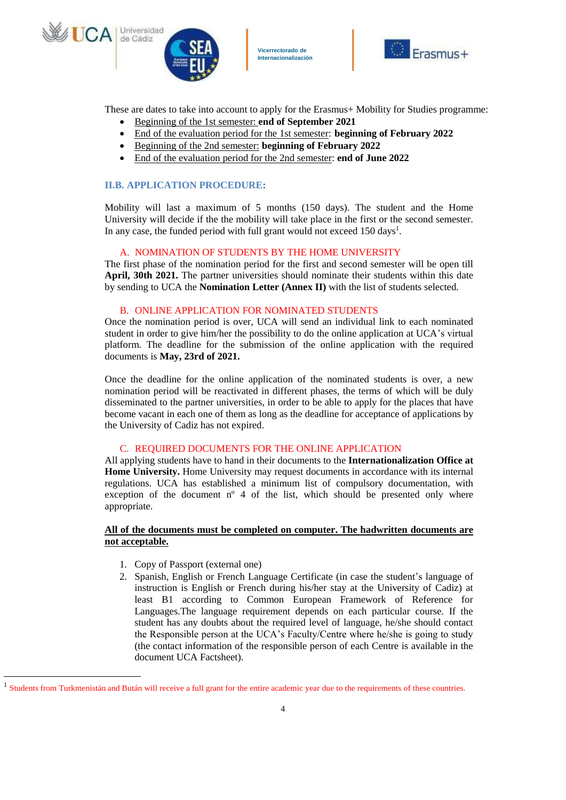





These are dates to take into account to apply for the Erasmus+ Mobility for Studies programme:

- Beginning of the 1st semester: **end of September 2021**
- End of the evaluation period for the 1st semester: **beginning of February 2022**
- Beginning of the 2nd semester: **beginning of February 2022**
- End of the evaluation period for the 2nd semester: **end of June 2022**

### **II.B. APPLICATION PROCEDURE:**

Mobility will last a maximum of 5 months (150 days). The student and the Home University will decide if the the mobility will take place in the first or the second semester. In any case, the funded period with full grant would not exceed 150 days<sup>1</sup>.

### A. NOMINATION OF STUDENTS BY THE HOME UNIVERSITY

The first phase of the nomination period for the first and second semester will be open till **April, 30th 2021.** The partner universities should nominate their students within this date by sending to UCA the **Nomination Letter (Annex II)** with the list of students selected.

### B. ONLINE APPLICATION FOR NOMINATED STUDENTS

Once the nomination period is over, UCA will send an individual link to each nominated student in order to give him/her the possibility to do the online application at UCA's virtual platform. The deadline for the submission of the online application with the required documents is **May, 23rd of 2021.** 

Once the deadline for the online application of the nominated students is over, a new nomination period will be reactivated in different phases, the terms of which will be duly disseminated to the partner universities, in order to be able to apply for the places that have become vacant in each one of them as long as the deadline for acceptance of applications by the University of Cadiz has not expired.

# C. REQUIRED DOCUMENTS FOR THE ONLINE APPLICATION

All applying students have to hand in their documents to the **Internationalization Office at Home University.** Home University may request documents in accordance with its internal regulations. UCA has established a minimum list of compulsory documentation, with exception of the document  $n^{\circ}$  4 of the list, which should be presented only where appropriate.

### **All of the documents must be completed on computer. The hadwritten documents are not acceptable.**

1. Copy of Passport (external one)

l

2. Spanish, English or French Language Certificate (in case the student's language of instruction is English or French during his/her stay at the University of Cadiz) at least B1 according to Common European Framework of Reference for Languages.The language requirement depends on each particular course. If the student has any doubts about the required level of language, he/she should contact the Responsible person at the UCA's Faculty/Centre where he/she is going to study (the contact information of the responsible person of each Centre is available in the document UCA Factsheet).

<sup>&</sup>lt;sup>1</sup> Students from Turkmenistán and Bután will receive a full grant for the entire academic year due to the requirements of these countries.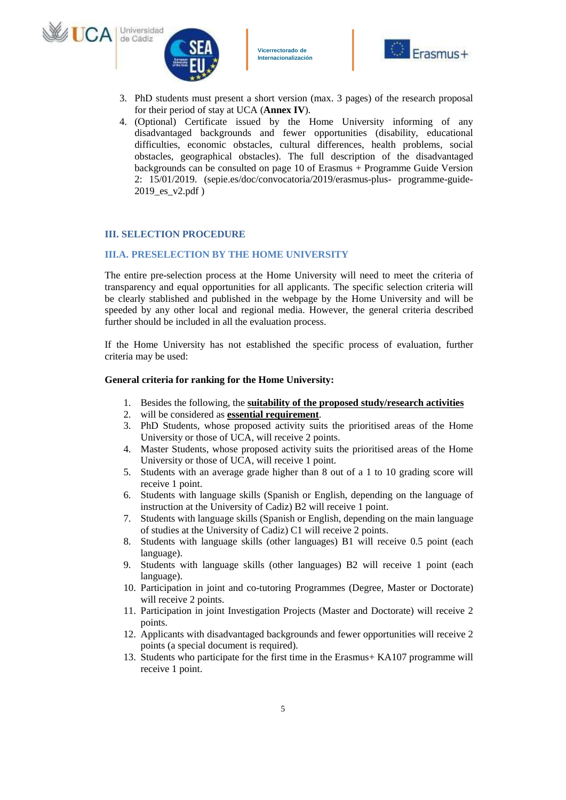





- 3. PhD students must present a short version (max. 3 pages) of the research proposal for their period of stay at UCA (**Annex IV**).
- 4. (Optional) Certificate issued by the Home University informing of any disadvantaged backgrounds and fewer opportunities (disability, educational difficulties, economic obstacles, cultural differences, health problems, social obstacles, geographical obstacles). The full description of the disadvantaged backgrounds can be consulted on page 10 of Erasmus + Programme Guide Version 2: 15/01/2019. (sepie.es/doc/convocatoria/2019/erasmus-plus- programme-guide-2019\_es\_v2.pdf )

# **III. SELECTION PROCEDURE**

#### **III.A. PRESELECTION BY THE HOME UNIVERSITY**

The entire pre-selection process at the Home University will need to meet the criteria of transparency and equal opportunities for all applicants. The specific selection criteria will be clearly stablished and published in the webpage by the Home University and will be speeded by any other local and regional media. However, the general criteria described further should be included in all the evaluation process.

If the Home University has not established the specific process of evaluation, further criteria may be used:

#### **General criteria for ranking for the Home University:**

- 1. Besides the following, the **suitability of the proposed study/research activities**
- 2. will be considered as **essential requirement**.
- 3. PhD Students, whose proposed activity suits the prioritised areas of the Home University or those of UCA, will receive 2 points.
- 4. Master Students, whose proposed activity suits the prioritised areas of the Home University or those of UCA, will receive 1 point.
- 5. Students with an average grade higher than 8 out of a 1 to 10 grading score will receive 1 point.
- 6. Students with language skills (Spanish or English, depending on the language of instruction at the University of Cadiz) B2 will receive 1 point.
- 7. Students with language skills (Spanish or English, depending on the main language of studies at the University of Cadiz) C1 will receive 2 points.
- 8. Students with language skills (other languages) B1 will receive 0.5 point (each language).
- 9. Students with language skills (other languages) B2 will receive 1 point (each language).
- 10. Participation in joint and co-tutoring Programmes (Degree, Master or Doctorate) will receive 2 points.
- 11. Participation in joint Investigation Projects (Master and Doctorate) will receive 2 points.
- 12. Applicants with disadvantaged backgrounds and fewer opportunities will receive 2 points (a special document is required).
- 13. Students who participate for the first time in the Erasmus+ KA107 programme will receive 1 point.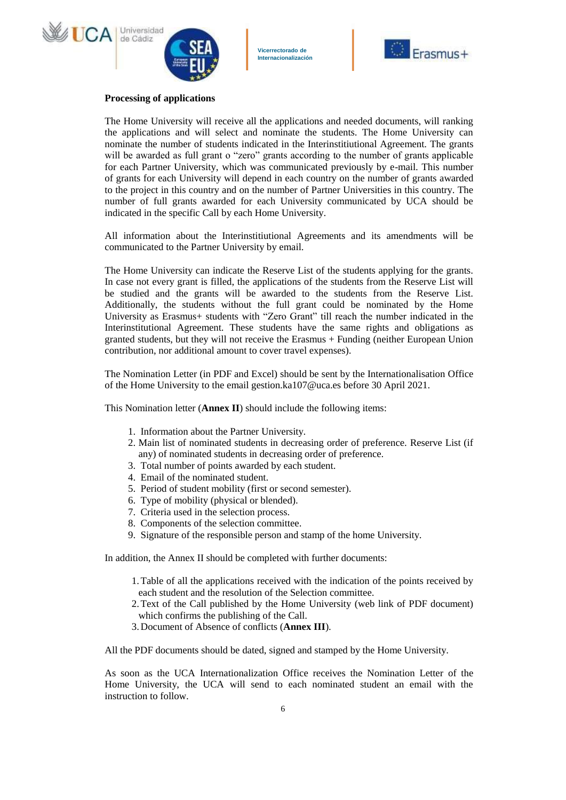





#### **Processing of applications**

The Home University will receive all the applications and needed documents, will ranking the applications and will select and nominate the students. The Home University can nominate the number of students indicated in the Interinstitiutional Agreement. The grants will be awarded as full grant o "zero" grants according to the number of grants applicable for each Partner University, which was communicated previously by e-mail. This number of grants for each University will depend in each country on the number of grants awarded to the project in this country and on the number of Partner Universities in this country. The number of full grants awarded for each University communicated by UCA should be indicated in the specific Call by each Home University.

All information about the Interinstitiutional Agreements and its amendments will be communicated to the Partner University by email.

The Home University can indicate the Reserve List of the students applying for the grants. In case not every grant is filled, the applications of the students from the Reserve List will be studied and the grants will be awarded to the students from the Reserve List. Additionally, the students without the full grant could be nominated by the Home University as Erasmus+ students with "Zero Grant" till reach the number indicated in the Interinstitutional Agreement. These students have the same rights and obligations as granted students, but they will not receive the Erasmus + Funding (neither European Union contribution, nor additional amount to cover travel expenses).

The Nomination Letter (in PDF and Excel) should be sent by the Internationalisation Office of the Home University to the email gestion.ka107@uca.es before 30 April 2021.

This Nomination letter (**Annex II**) should include the following items:

- 1. Information about the Partner University.
- 2. Main list of nominated students in decreasing order of preference. Reserve List (if any) of nominated students in decreasing order of preference.
- 3. Total number of points awarded by each student.
- 4. Email of the nominated student.
- 5. Period of student mobility (first or second semester).
- 6. Type of mobility (physical or blended).
- 7. Criteria used in the selection process.
- 8. Components of the selection committee.
- 9. Signature of the responsible person and stamp of the home University.

In addition, the Annex II should be completed with further documents:

- 1.Table of all the applications received with the indication of the points received by each student and the resolution of the Selection committee.
- 2.Text of the Call published by the Home University (web link of PDF document) which confirms the publishing of the Call.
- 3.Document of Absence of conflicts (**Annex III**).

All the PDF documents should be dated, signed and stamped by the Home University.

As soon as the UCA Internationalization Office receives the Nomination Letter of the Home University, the UCA will send to each nominated student an email with the instruction to follow.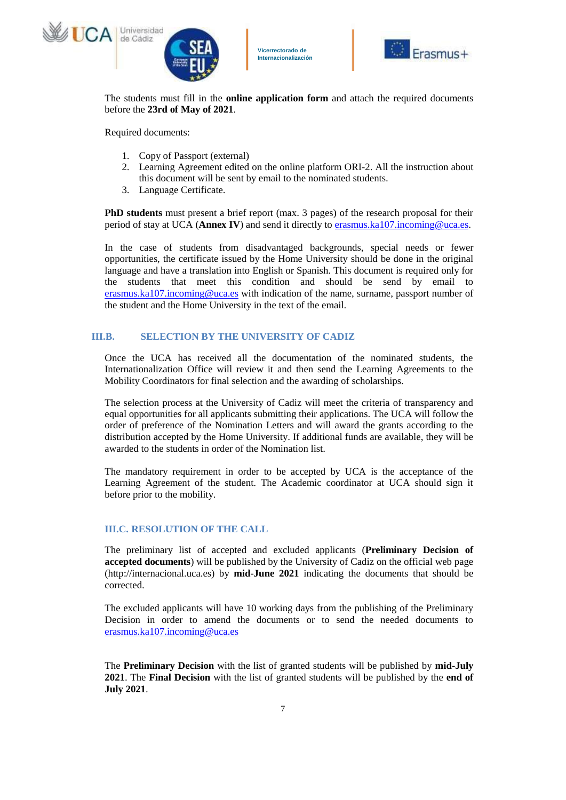





The students must fill in the **online application form** and attach the required documents before the **23rd of May of 2021**.

Required documents:

- 1. Copy of Passport (external)
- 2. Learning Agreement edited on the online platform ORI-2. All the instruction about this document will be sent by email to the nominated students.
- 3. Language Certificate.

**PhD students** must present a brief report (max. 3 pages) of the research proposal for their period of stay at UCA (**Annex IV**) and send it directly to [erasmus.ka107.incoming@uca.es.](mailto:erasmus.ka107.incoming@uca.es)

In the case of students from disadvantaged backgrounds, special needs or fewer opportunities, the certificate issued by the Home University should be done in the original language and have a translation into English or Spanish. This document is required only for the students that meet this condition and should be send by email to [erasmus.ka107.incoming@uca.es](mailto:erasmus.ka107.incoming@uca.es) with indication of the name, surname, passport number of the student and the Home University in the text of the email.

# **III.B. SELECTION BY THE UNIVERSITY OF CADIZ**

Once the UCA has received all the documentation of the nominated students, the Internationalization Office will review it and then send the Learning Agreements to the Mobility Coordinators for final selection and the awarding of scholarships.

The selection process at the University of Cadiz will meet the criteria of transparency and equal opportunities for all applicants submitting their applications. The UCA will follow the order of preference of the Nomination Letters and will award the grants according to the distribution accepted by the Home University. If additional funds are available, they will be awarded to the students in order of the Nomination list.

The mandatory requirement in order to be accepted by UCA is the acceptance of the Learning Agreement of the student. The Academic coordinator at UCA should sign it before prior to the mobility.

# **III.C. RESOLUTION OF THE CALL**

The preliminary list of accepted and excluded applicants (**Preliminary Decision of accepted documents**) will be published by the University of Cadiz on the official web page (http://internacional.uca.es) by **mid-June 2021** indicating the documents that should be corrected.

The excluded applicants will have 10 working days from the publishing of the Preliminary Decision in order to amend the documents or to send the needed documents to [erasmus.ka107.incoming@uca.es](mailto:erasmus.ka107.incoming@uca.es)

The **Preliminary Decision** with the list of granted students will be published by **mid-July 2021**. The **Final Decision** with the list of granted students will be published by the **end of July 2021**.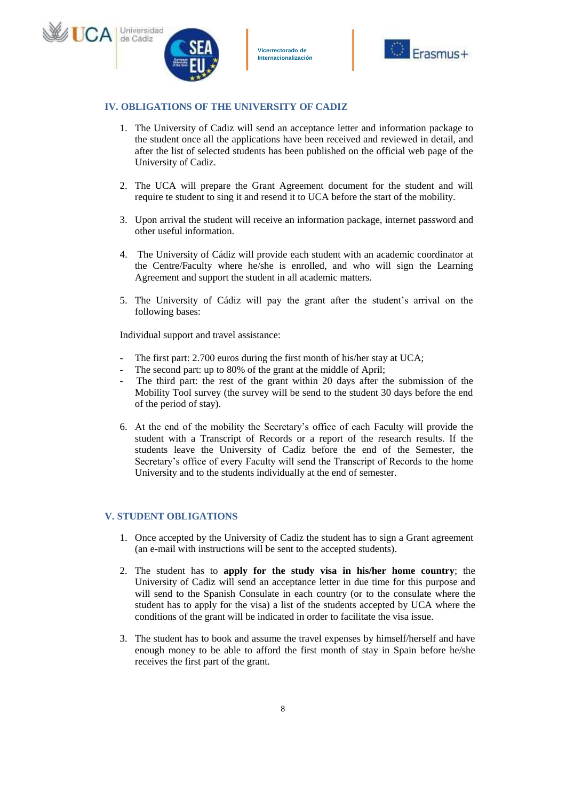



### **IV. OBLIGATIONS OF THE UNIVERSITY OF CADIZ**

- 1. The University of Cadiz will send an acceptance letter and information package to the student once all the applications have been received and reviewed in detail, and after the list of selected students has been published on the official web page of the University of Cadiz.
- 2. The UCA will prepare the Grant Agreement document for the student and will require te student to sing it and resend it to UCA before the start of the mobility.
- 3. Upon arrival the student will receive an information package, internet password and other useful information.
- 4. The University of Cádiz will provide each student with an academic coordinator at the Centre/Faculty where he/she is enrolled, and who will sign the Learning Agreement and support the student in all academic matters.
- 5. The University of Cádiz will pay the grant after the student's arrival on the following bases:

Individual support and travel assistance:

- The first part: 2.700 euros during the first month of his/her stay at UCA;
- The second part: up to 80% of the grant at the middle of April;
- The third part: the rest of the grant within 20 days after the submission of the Mobility Tool survey (the survey will be send to the student 30 days before the end of the period of stay).
- 6. At the end of the mobility the Secretary's office of each Faculty will provide the student with a Transcript of Records or a report of the research results. If the students leave the University of Cadiz before the end of the Semester, the Secretary's office of every Faculty will send the Transcript of Records to the home University and to the students individually at the end of semester.

### **V. STUDENT OBLIGATIONS**

- 1. Once accepted by the University of Cadiz the student has to sign a Grant agreement (an e-mail with instructions will be sent to the accepted students).
- 2. The student has to **apply for the study visa in his/her home country**; the University of Cadiz will send an acceptance letter in due time for this purpose and will send to the Spanish Consulate in each country (or to the consulate where the student has to apply for the visa) a list of the students accepted by UCA where the conditions of the grant will be indicated in order to facilitate the visa issue.
- 3. The student has to book and assume the travel expenses by himself/herself and have enough money to be able to afford the first month of stay in Spain before he/she receives the first part of the grant.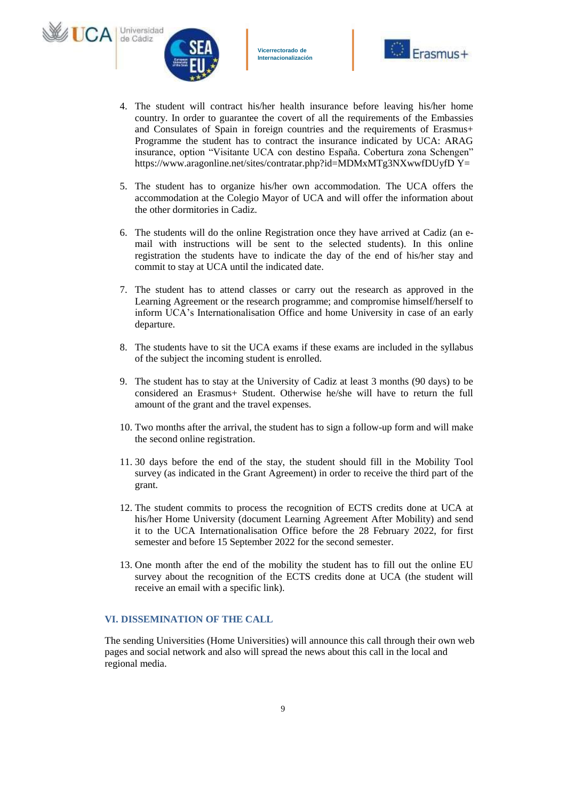





- 4. The student will contract his/her health insurance before leaving his/her home country. In order to guarantee the covert of all the requirements of the Embassies and Consulates of Spain in foreign countries and the requirements of Erasmus+ Programme the student has to contract the insurance indicated by UCA: ARAG insurance, option "Visitante UCA con destino España. Cobertura zona Schengen" https://www.aragonline.net/sites/contratar.php?id=MDMxMTg3NXwwfDUyfD Y=
- 5. The student has to organize his/her own accommodation. The UCA offers the accommodation at the Colegio Mayor of UCA and will offer the information about the other dormitories in Cadiz.
- 6. The students will do the online Registration once they have arrived at Cadiz (an email with instructions will be sent to the selected students). In this online registration the students have to indicate the day of the end of his/her stay and commit to stay at UCA until the indicated date.
- 7. The student has to attend classes or carry out the research as approved in the Learning Agreement or the research programme; and compromise himself/herself to inform UCA's Internationalisation Office and home University in case of an early departure.
- 8. The students have to sit the UCA exams if these exams are included in the syllabus of the subject the incoming student is enrolled.
- 9. The student has to stay at the University of Cadiz at least 3 months (90 days) to be considered an Erasmus+ Student. Otherwise he/she will have to return the full amount of the grant and the travel expenses.
- 10. Two months after the arrival, the student has to sign a follow-up form and will make the second online registration.
- 11. 30 days before the end of the stay, the student should fill in the Mobility Tool survey (as indicated in the Grant Agreement) in order to receive the third part of the grant.
- 12. The student commits to process the recognition of ECTS credits done at UCA at his/her Home University (document Learning Agreement After Mobility) and send it to the UCA Internationalisation Office before the 28 February 2022, for first semester and before 15 September 2022 for the second semester.
- 13. One month after the end of the mobility the student has to fill out the online EU survey about the recognition of the ECTS credits done at UCA (the student will receive an email with a specific link).

# **VI. DISSEMINATION OF THE CALL**

The sending Universities (Home Universities) will announce this call through their own web pages and social network and also will spread the news about this call in the local and regional media.